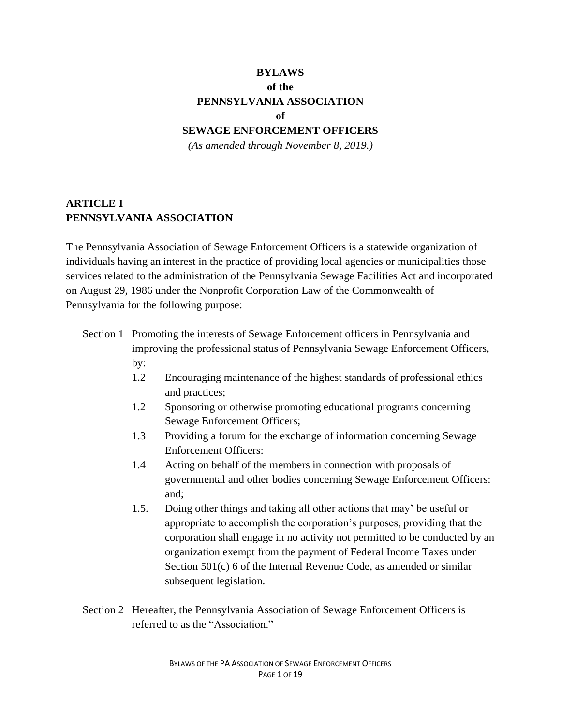# **BYLAWS of the PENNSYLVANIA ASSOCIATION of**

### **SEWAGE ENFORCEMENT OFFICERS**

*(As amended through November 8, 2019.)*

# **ARTICLE I PENNSYLVANIA ASSOCIATION**

The Pennsylvania Association of Sewage Enforcement Officers is a statewide organization of individuals having an interest in the practice of providing local agencies or municipalities those services related to the administration of the Pennsylvania Sewage Facilities Act and incorporated on August 29, 1986 under the Nonprofit Corporation Law of the Commonwealth of Pennsylvania for the following purpose:

- Section 1 Promoting the interests of Sewage Enforcement officers in Pennsylvania and improving the professional status of Pennsylvania Sewage Enforcement Officers, by:
	- 1.2 Encouraging maintenance of the highest standards of professional ethics and practices;
	- 1.2 Sponsoring or otherwise promoting educational programs concerning Sewage Enforcement Officers;
	- 1.3 Providing a forum for the exchange of information concerning Sewage Enforcement Officers:
	- 1.4 Acting on behalf of the members in connection with proposals of governmental and other bodies concerning Sewage Enforcement Officers: and;
	- 1.5. Doing other things and taking all other actions that may' be useful or appropriate to accomplish the corporation's purposes, providing that the corporation shall engage in no activity not permitted to be conducted by an organization exempt from the payment of Federal Income Taxes under Section 501(c) 6 of the Internal Revenue Code, as amended or similar subsequent legislation.
- Section 2 Hereafter, the Pennsylvania Association of Sewage Enforcement Officers is referred to as the "Association."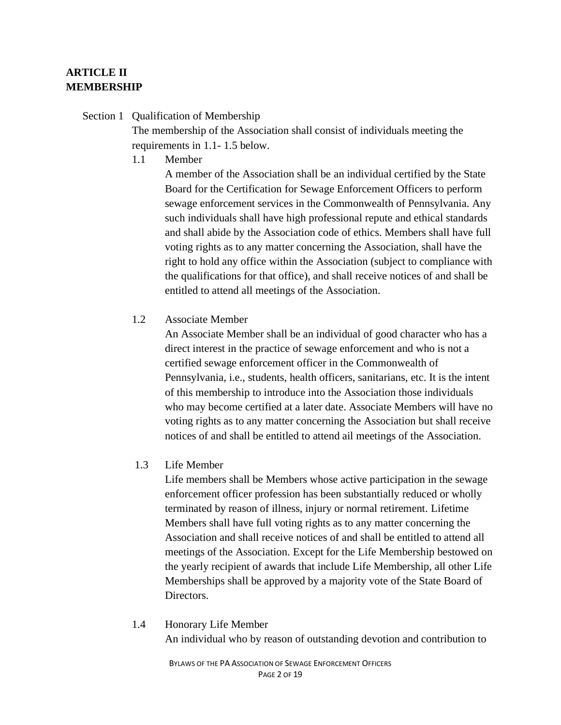# **ARTICLE II MEMBERSHIP**

# Section 1 Qualification of Membership

The membership of the Association shall consist of individuals meeting the requirements in 1.1- 1.5 below.

1.1 Member

A member of the Association shall be an individual certified by the State Board for the Certification for Sewage Enforcement Officers to perform sewage enforcement services in the Commonwealth of Pennsylvania. Any such individuals shall have high professional repute and ethical standards and shall abide by the Association code of ethics. Members shall have full voting rights as to any matter concerning the Association, shall have the right to hold any office within the Association (subject to compliance with the qualifications for that office), and shall receive notices of and shall be entitled to attend all meetings of the Association.

1.2 Associate Member

An Associate Member shall be an individual of good character who has a direct interest in the practice of sewage enforcement and who is not a certified sewage enforcement officer in the Commonwealth of Pennsylvania, i.e., students, health officers, sanitarians, etc. It is the intent of this membership to introduce into the Association those individuals who may become certified at a later date. Associate Members will have no voting rights as to any matter concerning the Association but shall receive notices of and shall be entitled to attend ail meetings of the Association.

1.3 Life Member

Life members shall be Members whose active participation in the sewage enforcement officer profession has been substantially reduced or wholly terminated by reason of illness, injury or normal retirement. Lifetime Members shall have full voting rights as to any matter concerning the Association and shall receive notices of and shall be entitled to attend all meetings of the Association. Except for the Life Membership bestowed on the yearly recipient of awards that include Life Membership, all other Life Memberships shall be approved by a majority vote of the State Board of Directors.

# 1.4 Honorary Life Member An individual who by reason of outstanding devotion and contribution to

BYLAWS OF THE PA ASSOCIATION OF SEWAGE ENFORCEMENT OFFICERS PAGE 2 OF 19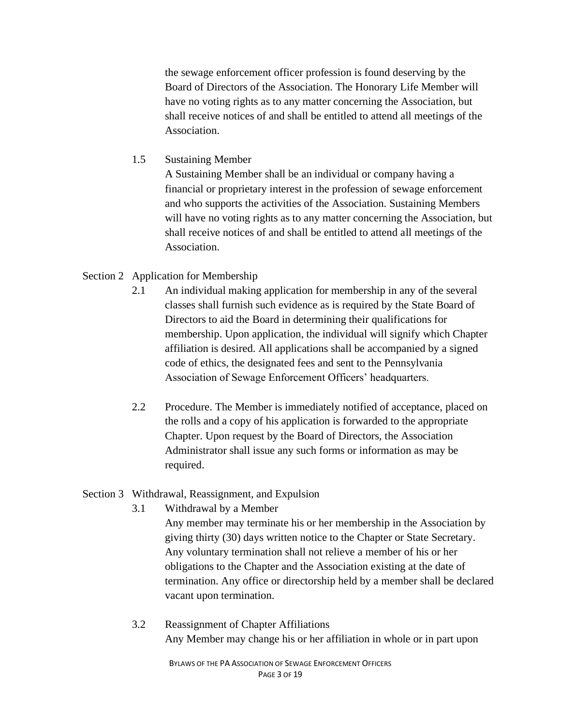the sewage enforcement officer profession is found deserving by the Board of Directors of the Association. The Honorary Life Member will have no voting rights as to any matter concerning the Association, but shall receive notices of and shall be entitled to attend all meetings of the Association.

# 1.5 Sustaining Member

A Sustaining Member shall be an individual or company having a financial or proprietary interest in the profession of sewage enforcement and who supports the activities of the Association. Sustaining Members will have no voting rights as to any matter concerning the Association, but shall receive notices of and shall be entitled to attend all meetings of the Association.

# Section 2 Application for Membership

- 2.1 An individual making application for membership in any of the several classes shall furnish such evidence as is required by the State Board of Directors to aid the Board in determining their qualifications for membership. Upon application, the individual will signify which Chapter affiliation is desired. All applications shall be accompanied by a signed code of ethics, the designated fees and sent to the Pennsylvania Association of Sewage Enforcement Officers' headquarters.
- 2.2 Procedure. The Member is immediately notified of acceptance, placed on the rolls and a copy of his application is forwarded to the appropriate Chapter. Upon request by the Board of Directors, the Association Administrator shall issue any such forms or information as may be required.

#### Section 3 Withdrawal, Reassignment, and Expulsion

3.1 Withdrawal by a Member

Any member may terminate his or her membership in the Association by giving thirty (30) days written notice to the Chapter or State Secretary. Any voluntary termination shall not relieve a member of his or her obligations to the Chapter and the Association existing at the date of termination. Any office or directorship held by a member shall be declared vacant upon termination.

3.2 Reassignment of Chapter Affiliations Any Member may change his or her affiliation in whole or in part upon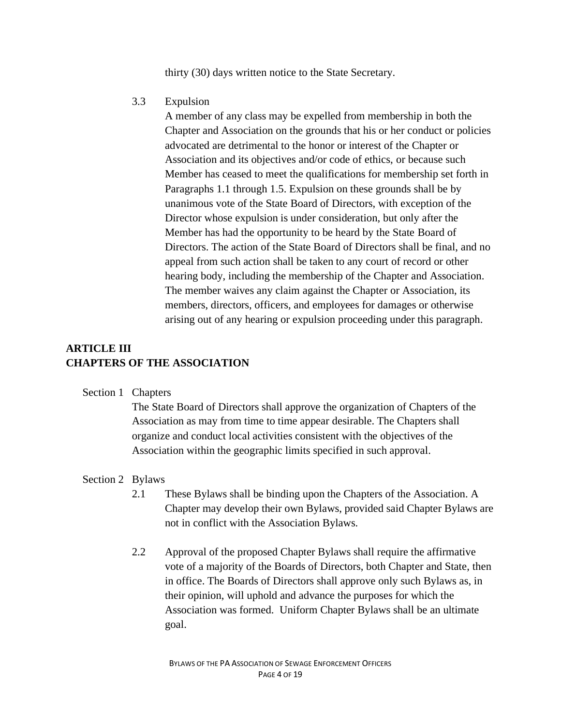thirty (30) days written notice to the State Secretary.

3.3 Expulsion

A member of any class may be expelled from membership in both the Chapter and Association on the grounds that his or her conduct or policies advocated are detrimental to the honor or interest of the Chapter or Association and its objectives and/or code of ethics, or because such Member has ceased to meet the qualifications for membership set forth in Paragraphs 1.1 through 1.5. Expulsion on these grounds shall be by unanimous vote of the State Board of Directors, with exception of the Director whose expulsion is under consideration, but only after the Member has had the opportunity to be heard by the State Board of Directors. The action of the State Board of Directors shall be final, and no appeal from such action shall be taken to any court of record or other hearing body, including the membership of the Chapter and Association. The member waives any claim against the Chapter or Association, its members, directors, officers, and employees for damages or otherwise arising out of any hearing or expulsion proceeding under this paragraph.

# **ARTICLE III CHAPTERS OF THE ASSOCIATION**

#### Section 1 Chapters

The State Board of Directors shall approve the organization of Chapters of the Association as may from time to time appear desirable. The Chapters shall organize and conduct local activities consistent with the objectives of the Association within the geographic limits specified in such approval.

#### Section 2 Bylaws

- 2.1 These Bylaws shall be binding upon the Chapters of the Association. A Chapter may develop their own Bylaws, provided said Chapter Bylaws are not in conflict with the Association Bylaws.
- 2.2 Approval of the proposed Chapter Bylaws shall require the affirmative vote of a majority of the Boards of Directors, both Chapter and State, then in office. The Boards of Directors shall approve only such Bylaws as, in their opinion, will uphold and advance the purposes for which the Association was formed. Uniform Chapter Bylaws shall be an ultimate goal.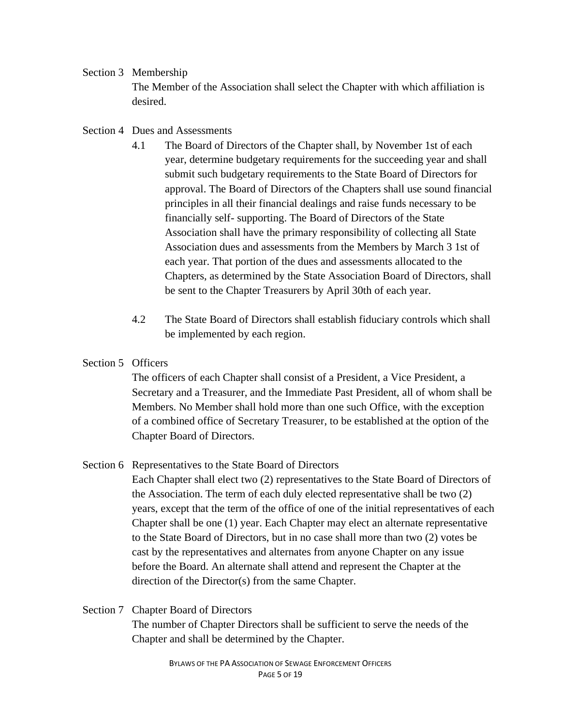# Section 3 Membership

The Member of the Association shall select the Chapter with which affiliation is desired.

# Section 4 Dues and Assessments

- 4.1 The Board of Directors of the Chapter shall, by November 1st of each year, determine budgetary requirements for the succeeding year and shall submit such budgetary requirements to the State Board of Directors for approval. The Board of Directors of the Chapters shall use sound financial principles in all their financial dealings and raise funds necessary to be financially self- supporting. The Board of Directors of the State Association shall have the primary responsibility of collecting all State Association dues and assessments from the Members by March 3 1st of each year. That portion of the dues and assessments allocated to the Chapters, as determined by the State Association Board of Directors, shall be sent to the Chapter Treasurers by April 30th of each year.
- 4.2 The State Board of Directors shall establish fiduciary controls which shall be implemented by each region.

# Section 5 Officers

The officers of each Chapter shall consist of a President, a Vice President, a Secretary and a Treasurer, and the Immediate Past President, all of whom shall be Members. No Member shall hold more than one such Office, with the exception of a combined office of Secretary Treasurer, to be established at the option of the Chapter Board of Directors.

# Section 6 Representatives to the State Board of Directors

Each Chapter shall elect two (2) representatives to the State Board of Directors of the Association. The term of each duly elected representative shall be two (2) years, except that the term of the office of one of the initial representatives of each Chapter shall be one (1) year. Each Chapter may elect an alternate representative to the State Board of Directors, but in no case shall more than two (2) votes be cast by the representatives and alternates from anyone Chapter on any issue before the Board. An alternate shall attend and represent the Chapter at the direction of the Director(s) from the same Chapter.

# Section 7 Chapter Board of Directors The number of Chapter Directors shall be sufficient to serve the needs of the Chapter and shall be determined by the Chapter.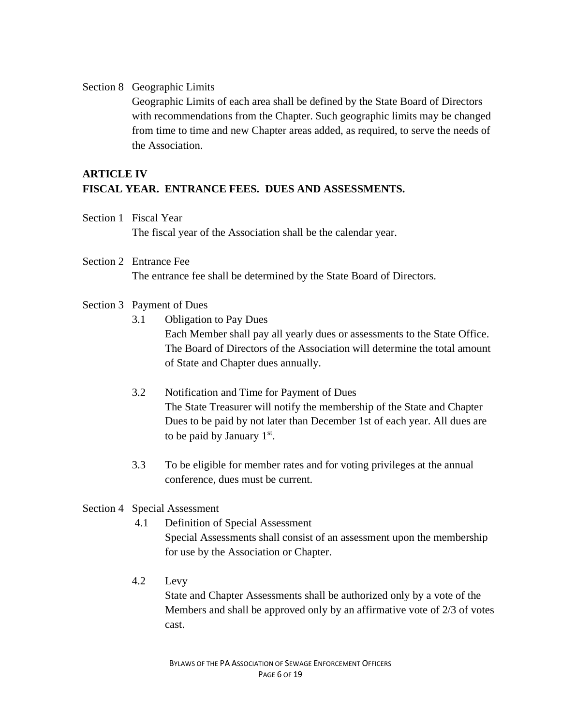#### Section 8 Geographic Limits

Geographic Limits of each area shall be defined by the State Board of Directors with recommendations from the Chapter. Such geographic limits may be changed from time to time and new Chapter areas added, as required, to serve the needs of the Association.

# **ARTICLE IV FISCAL YEAR. ENTRANCE FEES. DUES AND ASSESSMENTS.**

- Section 1 Fiscal Year The fiscal year of the Association shall be the calendar year.
- Section 2 Entrance Fee The entrance fee shall be determined by the State Board of Directors.

#### Section 3 Payment of Dues

3.1 Obligation to Pay Dues

Each Member shall pay all yearly dues or assessments to the State Office. The Board of Directors of the Association will determine the total amount of State and Chapter dues annually.

- 3.2 Notification and Time for Payment of Dues The State Treasurer will notify the membership of the State and Chapter Dues to be paid by not later than December 1st of each year. All dues are to be paid by January  $1<sup>st</sup>$ .
- 3.3 To be eligible for member rates and for voting privileges at the annual conference, dues must be current.

#### Section 4 Special Assessment

- 4.1 Definition of Special Assessment Special Assessments shall consist of an assessment upon the membership for use by the Association or Chapter.
- 4.2 Levy

State and Chapter Assessments shall be authorized only by a vote of the Members and shall be approved only by an affirmative vote of 2/3 of votes cast.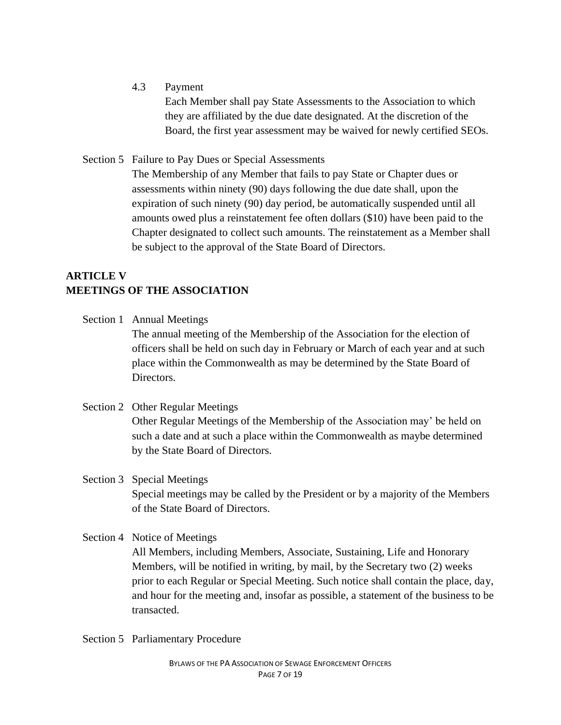4.3 Payment

Each Member shall pay State Assessments to the Association to which they are affiliated by the due date designated. At the discretion of the Board, the first year assessment may be waived for newly certified SEOs.

Section 5 Failure to Pay Dues or Special Assessments

The Membership of any Member that fails to pay State or Chapter dues or assessments within ninety (90) days following the due date shall, upon the expiration of such ninety (90) day period, be automatically suspended until all amounts owed plus a reinstatement fee often dollars (\$10) have been paid to the Chapter designated to collect such amounts. The reinstatement as a Member shall be subject to the approval of the State Board of Directors.

# **ARTICLE V MEETINGS OF THE ASSOCIATION**

- Section 1 Annual Meetings The annual meeting of the Membership of the Association for the election of officers shall be held on such day in February or March of each year and at such place within the Commonwealth as may be determined by the State Board of Directors.
- Section 2 Other Regular Meetings Other Regular Meetings of the Membership of the Association may' be held on such a date and at such a place within the Commonwealth as maybe determined by the State Board of Directors.

Section 3 Special Meetings Special meetings may be called by the President or by a majority of the Members of the State Board of Directors.

Section 4 Notice of Meetings

All Members, including Members, Associate, Sustaining, Life and Honorary Members, will be notified in writing, by mail, by the Secretary two (2) weeks prior to each Regular or Special Meeting. Such notice shall contain the place, day, and hour for the meeting and, insofar as possible, a statement of the business to be transacted.

Section 5 Parliamentary Procedure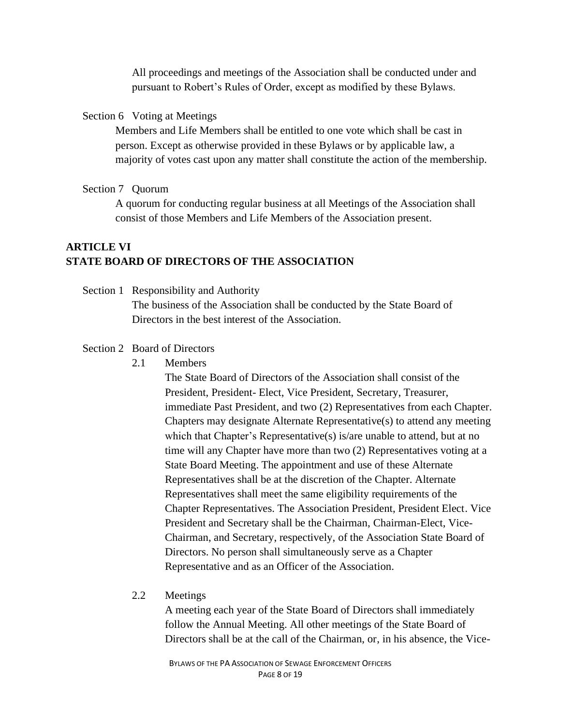All proceedings and meetings of the Association shall be conducted under and pursuant to Robert's Rules of Order, except as modified by these Bylaws.

#### Section 6 Voting at Meetings

Members and Life Members shall be entitled to one vote which shall be cast in person. Except as otherwise provided in these Bylaws or by applicable law, a majority of votes cast upon any matter shall constitute the action of the membership.

#### Section 7 Quorum

A quorum for conducting regular business at all Meetings of the Association shall consist of those Members and Life Members of the Association present.

# **ARTICLE VI STATE BOARD OF DIRECTORS OF THE ASSOCIATION**

Section 1 Responsibility and Authority The business of the Association shall be conducted by the State Board of Directors in the best interest of the Association.

#### Section 2 Board of Directors

2.1 Members

The State Board of Directors of the Association shall consist of the President, President- Elect, Vice President, Secretary, Treasurer, immediate Past President, and two (2) Representatives from each Chapter. Chapters may designate Alternate Representative(s) to attend any meeting which that Chapter's Representative(s) is/are unable to attend, but at no time will any Chapter have more than two (2) Representatives voting at a State Board Meeting. The appointment and use of these Alternate Representatives shall be at the discretion of the Chapter. Alternate Representatives shall meet the same eligibility requirements of the Chapter Representatives. The Association President, President Elect. Vice President and Secretary shall be the Chairman, Chairman-Elect, Vice-Chairman, and Secretary, respectively, of the Association State Board of Directors. No person shall simultaneously serve as a Chapter Representative and as an Officer of the Association.

### 2.2 Meetings

A meeting each year of the State Board of Directors shall immediately follow the Annual Meeting. All other meetings of the State Board of Directors shall be at the call of the Chairman, or, in his absence, the Vice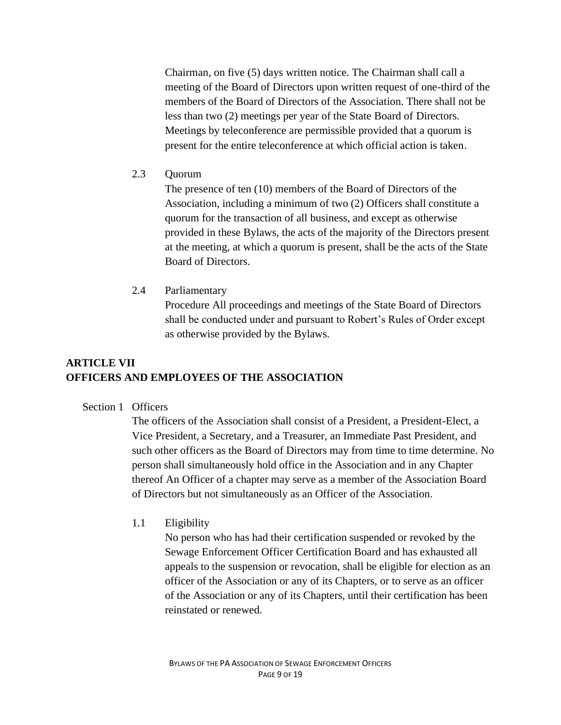Chairman, on five (5) days written notice. The Chairman shall call a meeting of the Board of Directors upon written request of one-third of the members of the Board of Directors of the Association. There shall not be less than two (2) meetings per year of the State Board of Directors. Meetings by teleconference are permissible provided that a quorum is present for the entire teleconference at which official action is taken.

2.3 Quorum

The presence of ten (10) members of the Board of Directors of the Association, including a minimum of two (2) Officers shall constitute a quorum for the transaction of all business, and except as otherwise provided in these Bylaws, the acts of the majority of the Directors present at the meeting, at which a quorum is present, shall be the acts of the State Board of Directors.

2.4 Parliamentary

Procedure All proceedings and meetings of the State Board of Directors shall be conducted under and pursuant to Robert's Rules of Order except as otherwise provided by the Bylaws.

# **ARTICLE VII OFFICERS AND EMPLOYEES OF THE ASSOCIATION**

#### Section 1 Officers

The officers of the Association shall consist of a President, a President-Elect, a Vice President, a Secretary, and a Treasurer, an Immediate Past President, and such other officers as the Board of Directors may from time to time determine. No person shall simultaneously hold office in the Association and in any Chapter thereof An Officer of a chapter may serve as a member of the Association Board of Directors but not simultaneously as an Officer of the Association.

#### 1.1 Eligibility

No person who has had their certification suspended or revoked by the Sewage Enforcement Officer Certification Board and has exhausted all appeals to the suspension or revocation, shall be eligible for election as an officer of the Association or any of its Chapters, or to serve as an officer of the Association or any of its Chapters, until their certification has been reinstated or renewed.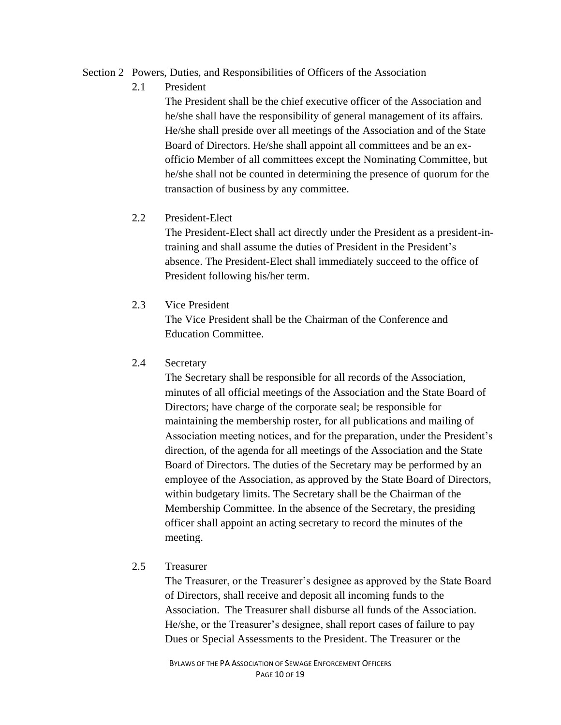#### Section 2 Powers, Duties, and Responsibilities of Officers of the Association

2.1 President

The President shall be the chief executive officer of the Association and he/she shall have the responsibility of general management of its affairs. He/she shall preside over all meetings of the Association and of the State Board of Directors. He/she shall appoint all committees and be an exofficio Member of all committees except the Nominating Committee, but he/she shall not be counted in determining the presence of quorum for the transaction of business by any committee.

#### 2.2 President-Elect

The President-Elect shall act directly under the President as a president-intraining and shall assume the duties of President in the President's absence. The President-Elect shall immediately succeed to the office of President following his/her term.

2.3 Vice President

The Vice President shall be the Chairman of the Conference and Education Committee.

### 2.4 Secretary

The Secretary shall be responsible for all records of the Association, minutes of all official meetings of the Association and the State Board of Directors; have charge of the corporate seal; be responsible for maintaining the membership roster, for all publications and mailing of Association meeting notices, and for the preparation, under the President's direction, of the agenda for all meetings of the Association and the State Board of Directors. The duties of the Secretary may be performed by an employee of the Association, as approved by the State Board of Directors, within budgetary limits. The Secretary shall be the Chairman of the Membership Committee. In the absence of the Secretary, the presiding officer shall appoint an acting secretary to record the minutes of the meeting.

#### 2.5 Treasurer

The Treasurer, or the Treasurer's designee as approved by the State Board of Directors, shall receive and deposit all incoming funds to the Association. The Treasurer shall disburse all funds of the Association. He/she, or the Treasurer's designee, shall report cases of failure to pay Dues or Special Assessments to the President. The Treasurer or the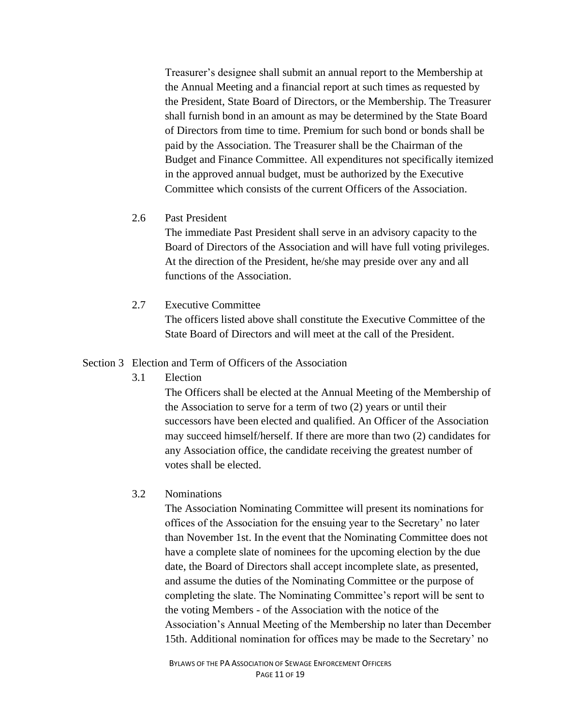Treasurer's designee shall submit an annual report to the Membership at the Annual Meeting and a financial report at such times as requested by the President, State Board of Directors, or the Membership. The Treasurer shall furnish bond in an amount as may be determined by the State Board of Directors from time to time. Premium for such bond or bonds shall be paid by the Association. The Treasurer shall be the Chairman of the Budget and Finance Committee. All expenditures not specifically itemized in the approved annual budget, must be authorized by the Executive Committee which consists of the current Officers of the Association.

#### 2.6 Past President

The immediate Past President shall serve in an advisory capacity to the Board of Directors of the Association and will have full voting privileges. At the direction of the President, he/she may preside over any and all functions of the Association.

#### 2.7 Executive Committee

The officers listed above shall constitute the Executive Committee of the State Board of Directors and will meet at the call of the President.

#### Section 3 Election and Term of Officers of the Association

3.1 Election

The Officers shall be elected at the Annual Meeting of the Membership of the Association to serve for a term of two (2) years or until their successors have been elected and qualified. An Officer of the Association may succeed himself/herself. If there are more than two (2) candidates for any Association office, the candidate receiving the greatest number of votes shall be elected.

### 3.2 Nominations

The Association Nominating Committee will present its nominations for offices of the Association for the ensuing year to the Secretary' no later than November 1st. In the event that the Nominating Committee does not have a complete slate of nominees for the upcoming election by the due date, the Board of Directors shall accept incomplete slate, as presented, and assume the duties of the Nominating Committee or the purpose of completing the slate. The Nominating Committee's report will be sent to the voting Members - of the Association with the notice of the Association's Annual Meeting of the Membership no later than December 15th. Additional nomination for offices may be made to the Secretary' no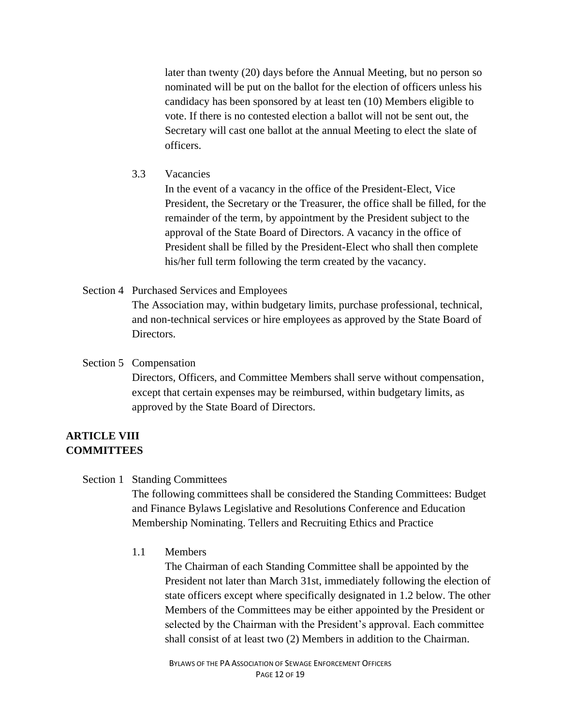later than twenty (20) days before the Annual Meeting, but no person so nominated will be put on the ballot for the election of officers unless his candidacy has been sponsored by at least ten (10) Members eligible to vote. If there is no contested election a ballot will not be sent out, the Secretary will cast one ballot at the annual Meeting to elect the slate of officers.

3.3 Vacancies

In the event of a vacancy in the office of the President-Elect, Vice President, the Secretary or the Treasurer, the office shall be filled, for the remainder of the term, by appointment by the President subject to the approval of the State Board of Directors. A vacancy in the office of President shall be filled by the President-Elect who shall then complete his/her full term following the term created by the vacancy.

Section 4 Purchased Services and Employees

The Association may, within budgetary limits, purchase professional, technical, and non-technical services or hire employees as approved by the State Board of Directors.

#### Section 5 Compensation

Directors, Officers, and Committee Members shall serve without compensation, except that certain expenses may be reimbursed, within budgetary limits, as approved by the State Board of Directors.

# **ARTICLE VIII COMMITTEES**

#### Section 1 Standing Committees

The following committees shall be considered the Standing Committees: Budget and Finance Bylaws Legislative and Resolutions Conference and Education Membership Nominating. Tellers and Recruiting Ethics and Practice

1.1 Members

The Chairman of each Standing Committee shall be appointed by the President not later than March 31st, immediately following the election of state officers except where specifically designated in 1.2 below. The other Members of the Committees may be either appointed by the President or selected by the Chairman with the President's approval. Each committee shall consist of at least two (2) Members in addition to the Chairman.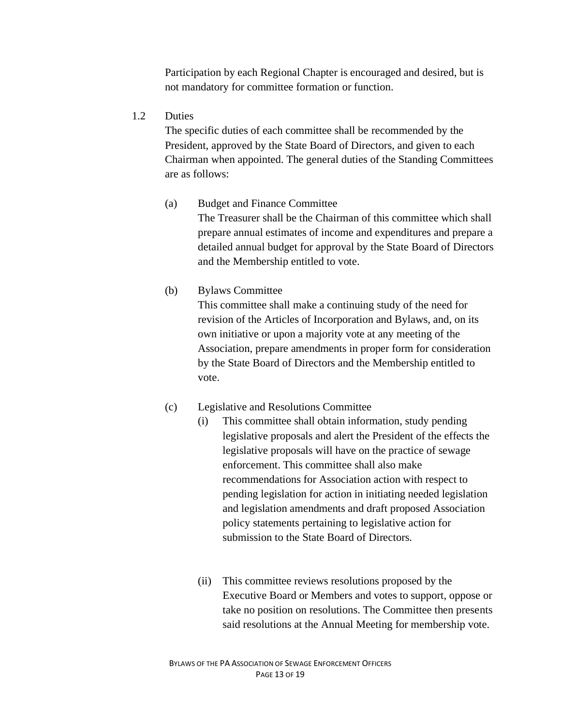Participation by each Regional Chapter is encouraged and desired, but is not mandatory for committee formation or function.

### 1.2 Duties

The specific duties of each committee shall be recommended by the President, approved by the State Board of Directors, and given to each Chairman when appointed. The general duties of the Standing Committees are as follows:

# (a) Budget and Finance Committee

The Treasurer shall be the Chairman of this committee which shall prepare annual estimates of income and expenditures and prepare a detailed annual budget for approval by the State Board of Directors and the Membership entitled to vote.

# (b) Bylaws Committee

This committee shall make a continuing study of the need for revision of the Articles of Incorporation and Bylaws, and, on its own initiative or upon a majority vote at any meeting of the Association, prepare amendments in proper form for consideration by the State Board of Directors and the Membership entitled to vote.

# (c) Legislative and Resolutions Committee

- (i) This committee shall obtain information, study pending legislative proposals and alert the President of the effects the legislative proposals will have on the practice of sewage enforcement. This committee shall also make recommendations for Association action with respect to pending legislation for action in initiating needed legislation and legislation amendments and draft proposed Association policy statements pertaining to legislative action for submission to the State Board of Directors.
- (ii) This committee reviews resolutions proposed by the Executive Board or Members and votes to support, oppose or take no position on resolutions. The Committee then presents said resolutions at the Annual Meeting for membership vote.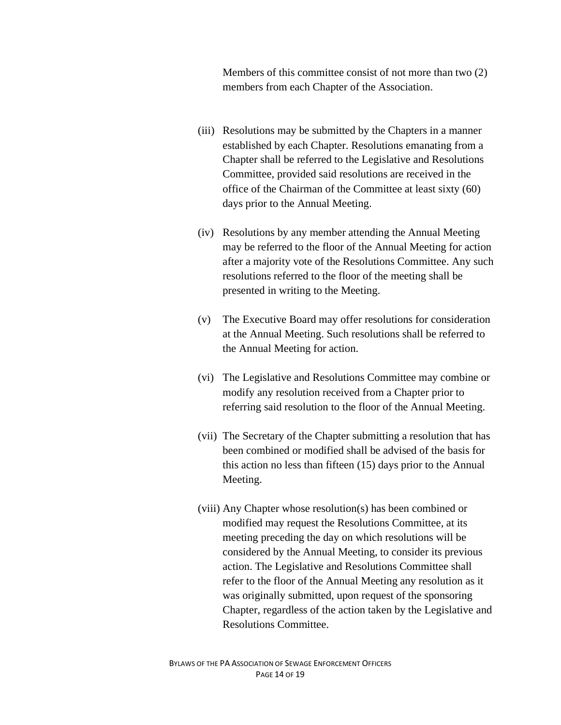Members of this committee consist of not more than two (2) members from each Chapter of the Association.

- (iii) Resolutions may be submitted by the Chapters in a manner established by each Chapter. Resolutions emanating from a Chapter shall be referred to the Legislative and Resolutions Committee, provided said resolutions are received in the office of the Chairman of the Committee at least sixty (60) days prior to the Annual Meeting.
- (iv) Resolutions by any member attending the Annual Meeting may be referred to the floor of the Annual Meeting for action after a majority vote of the Resolutions Committee. Any such resolutions referred to the floor of the meeting shall be presented in writing to the Meeting.
- (v) The Executive Board may offer resolutions for consideration at the Annual Meeting. Such resolutions shall be referred to the Annual Meeting for action.
- (vi) The Legislative and Resolutions Committee may combine or modify any resolution received from a Chapter prior to referring said resolution to the floor of the Annual Meeting.
- (vii) The Secretary of the Chapter submitting a resolution that has been combined or modified shall be advised of the basis for this action no less than fifteen (15) days prior to the Annual Meeting.
- (viii) Any Chapter whose resolution(s) has been combined or modified may request the Resolutions Committee, at its meeting preceding the day on which resolutions will be considered by the Annual Meeting, to consider its previous action. The Legislative and Resolutions Committee shall refer to the floor of the Annual Meeting any resolution as it was originally submitted, upon request of the sponsoring Chapter, regardless of the action taken by the Legislative and Resolutions Committee.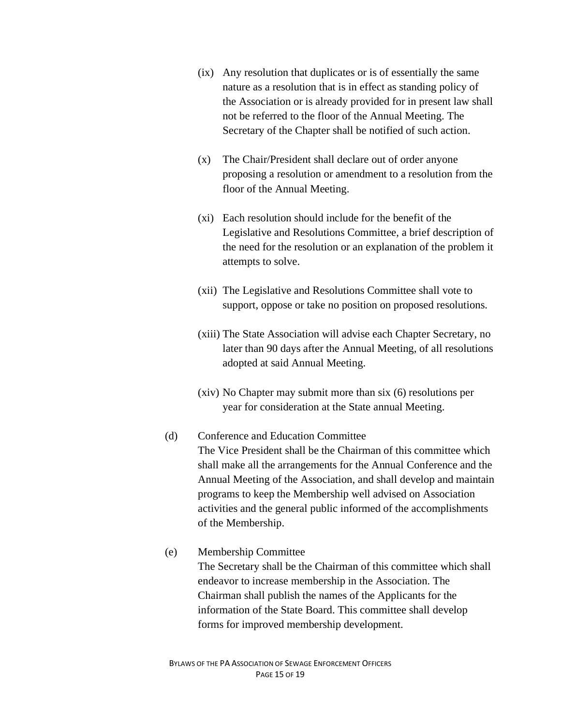- (ix) Any resolution that duplicates or is of essentially the same nature as a resolution that is in effect as standing policy of the Association or is already provided for in present law shall not be referred to the floor of the Annual Meeting. The Secretary of the Chapter shall be notified of such action.
- (x) The Chair/President shall declare out of order anyone proposing a resolution or amendment to a resolution from the floor of the Annual Meeting.
- (xi) Each resolution should include for the benefit of the Legislative and Resolutions Committee, a brief description of the need for the resolution or an explanation of the problem it attempts to solve.
- (xii) The Legislative and Resolutions Committee shall vote to support, oppose or take no position on proposed resolutions.
- (xiii) The State Association will advise each Chapter Secretary, no later than 90 days after the Annual Meeting, of all resolutions adopted at said Annual Meeting.
- (xiv) No Chapter may submit more than six (6) resolutions per year for consideration at the State annual Meeting.
- (d) Conference and Education Committee The Vice President shall be the Chairman of this committee which shall make all the arrangements for the Annual Conference and the Annual Meeting of the Association, and shall develop and maintain programs to keep the Membership well advised on Association activities and the general public informed of the accomplishments of the Membership.
- (e) Membership Committee

The Secretary shall be the Chairman of this committee which shall endeavor to increase membership in the Association. The Chairman shall publish the names of the Applicants for the information of the State Board. This committee shall develop forms for improved membership development.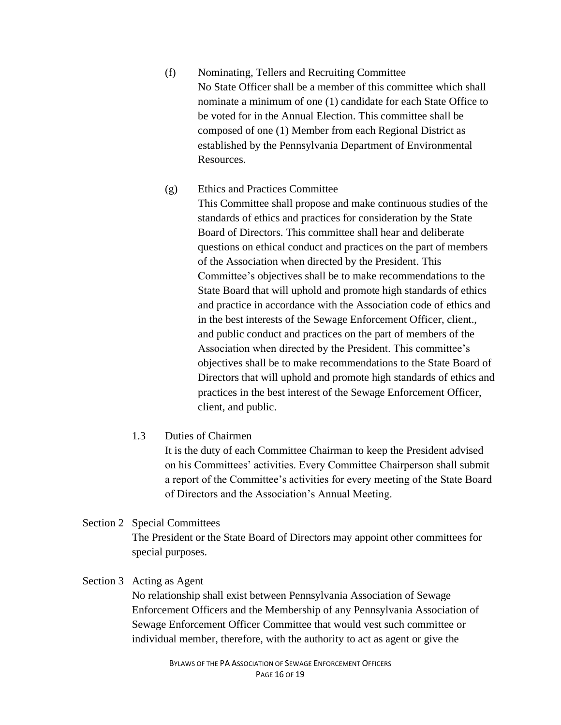(f) Nominating, Tellers and Recruiting Committee No State Officer shall be a member of this committee which shall nominate a minimum of one (1) candidate for each State Office to be voted for in the Annual Election. This committee shall be composed of one (1) Member from each Regional District as established by the Pennsylvania Department of Environmental Resources.

### (g) Ethics and Practices Committee

This Committee shall propose and make continuous studies of the standards of ethics and practices for consideration by the State Board of Directors. This committee shall hear and deliberate questions on ethical conduct and practices on the part of members of the Association when directed by the President. This Committee's objectives shall be to make recommendations to the State Board that will uphold and promote high standards of ethics and practice in accordance with the Association code of ethics and in the best interests of the Sewage Enforcement Officer, client., and public conduct and practices on the part of members of the Association when directed by the President. This committee's objectives shall be to make recommendations to the State Board of Directors that will uphold and promote high standards of ethics and practices in the best interest of the Sewage Enforcement Officer, client, and public.

### 1.3 Duties of Chairmen

It is the duty of each Committee Chairman to keep the President advised on his Committees' activities. Every Committee Chairperson shall submit a report of the Committee's activities for every meeting of the State Board of Directors and the Association's Annual Meeting.

# Section 2 Special Committees

The President or the State Board of Directors may appoint other committees for special purposes.

#### Section 3 Acting as Agent

No relationship shall exist between Pennsylvania Association of Sewage Enforcement Officers and the Membership of any Pennsylvania Association of Sewage Enforcement Officer Committee that would vest such committee or individual member, therefore, with the authority to act as agent or give the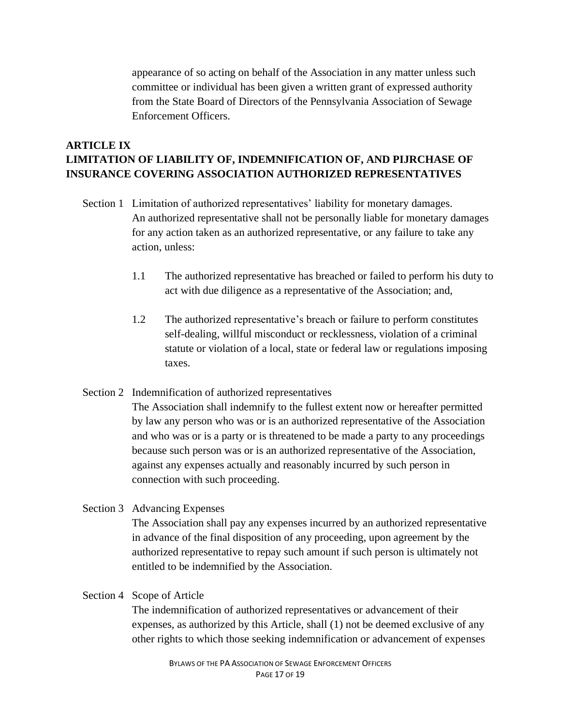appearance of so acting on behalf of the Association in any matter unless such committee or individual has been given a written grant of expressed authority from the State Board of Directors of the Pennsylvania Association of Sewage Enforcement Officers.

# **ARTICLE IX LIMITATION OF LIABILITY OF, INDEMNIFICATION OF, AND PIJRCHASE OF INSURANCE COVERING ASSOCIATION AUTHORIZED REPRESENTATIVES**

- Section 1 Limitation of authorized representatives' liability for monetary damages. An authorized representative shall not be personally liable for monetary damages for any action taken as an authorized representative, or any failure to take any action, unless:
	- 1.1 The authorized representative has breached or failed to perform his duty to act with due diligence as a representative of the Association; and,
	- 1.2 The authorized representative's breach or failure to perform constitutes self-dealing, willful misconduct or recklessness, violation of a criminal statute or violation of a local, state or federal law or regulations imposing taxes.

# Section 2 Indemnification of authorized representatives

The Association shall indemnify to the fullest extent now or hereafter permitted by law any person who was or is an authorized representative of the Association and who was or is a party or is threatened to be made a party to any proceedings because such person was or is an authorized representative of the Association, against any expenses actually and reasonably incurred by such person in connection with such proceeding.

# Section 3 Advancing Expenses

The Association shall pay any expenses incurred by an authorized representative in advance of the final disposition of any proceeding, upon agreement by the authorized representative to repay such amount if such person is ultimately not entitled to be indemnified by the Association.

#### Section 4 Scope of Article

The indemnification of authorized representatives or advancement of their expenses, as authorized by this Article, shall (1) not be deemed exclusive of any other rights to which those seeking indemnification or advancement of expenses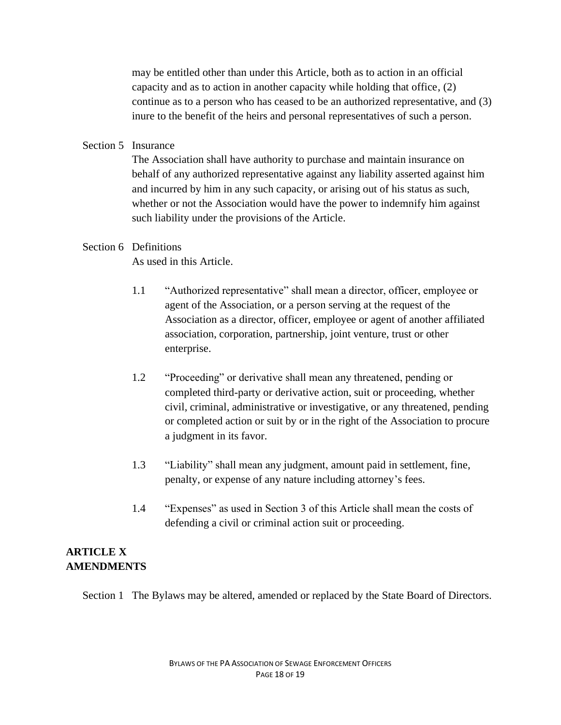may be entitled other than under this Article, both as to action in an official capacity and as to action in another capacity while holding that office, (2) continue as to a person who has ceased to be an authorized representative, and (3) inure to the benefit of the heirs and personal representatives of such a person.

#### Section 5 Insurance

The Association shall have authority to purchase and maintain insurance on behalf of any authorized representative against any liability asserted against him and incurred by him in any such capacity, or arising out of his status as such, whether or not the Association would have the power to indemnify him against such liability under the provisions of the Article.

# Section 6 Definitions

As used in this Article.

- 1.1 "Authorized representative" shall mean a director, officer, employee or agent of the Association, or a person serving at the request of the Association as a director, officer, employee or agent of another affiliated association, corporation, partnership, joint venture, trust or other enterprise.
- 1.2 "Proceeding" or derivative shall mean any threatened, pending or completed third-party or derivative action, suit or proceeding, whether civil, criminal, administrative or investigative, or any threatened, pending or completed action or suit by or in the right of the Association to procure a judgment in its favor.
- 1.3 "Liability" shall mean any judgment, amount paid in settlement, fine, penalty, or expense of any nature including attorney's fees.
- 1.4 "Expenses" as used in Section 3 of this Article shall mean the costs of defending a civil or criminal action suit or proceeding.

# **ARTICLE X AMENDMENTS**

Section 1 The Bylaws may be altered, amended or replaced by the State Board of Directors.